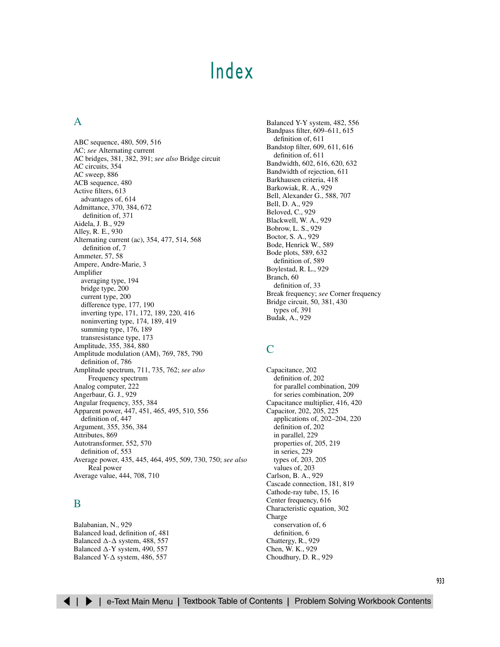# [Index](#page-3-0)

# <span id="page-0-2"></span><span id="page-0-1"></span><span id="page-0-0"></span>A

ABC sequence, [480,](#page-3-1) [509,](#page-32-0) [516](#page-39-1) AC; *see* Alternating current AC bridges, [381,](#page-29-0) [382,](#page-30-1) [391;](#page-39-0) *see also* Bridge circuit AC circuits, [354](#page-2-0) AC sweep, [886](#page-21-0) ACB sequence, [480](#page-3-1) Active filters, [613](#page-30-0) advantages of, [614](#page-31-0) Admittance, [370,](#page-18-0) [384,](#page-32-1) [672](#page-28-1) definition of, [371](#page-19-1) Aidela, J. B., [929](#page-0-0) Alley, R. E., [930](#page-1-0) Alternating current (ac), [354,](#page-2-1) [477,](#page-0-1) [514,](#page-37-1) [568](#page-41-0) definition of, [7](#page-6-0) Ammeter, [57,](#page-30-0) [58](#page-31-0) Ampere, Andre-Marie, [3](#page-2-0) Amplifier averaging type, [194](#page-29-2) bridge type, [200](#page-35-0) current type, [200](#page-35-0) difference type, [177,](#page-12-0) [190](#page-25-0) inverting type, [171,](#page-6-0) [172,](#page-7-0) [189,](#page-24-0) [220,](#page-19-0) [416](#page-23-0) noninverting type, [174,](#page-9-0) [189,](#page-24-0) [419](#page-26-0) summing type, [176,](#page-11-0) [189](#page-24-0) transresistance type, [173](#page-8-0) Amplitude, [355,](#page-3-1) [384,](#page-32-0) [880](#page-15-0) Amplitude modulation (AM), [769,](#page-10-0) [785,](#page-26-0) [790](#page-31-0) definition of, [786](#page-27-0) Amplitude spectrum, [711,](#page-4-0) [735,](#page-28-0) [762;](#page-3-1) *see also* Frequency spectrum Analog computer, [222](#page-21-0) Angerbaur, G. J., [929](#page-0-0) Angular frequency, [355,](#page-3-2) [384](#page-32-1) Apparent power, [447,](#page-14-0) [451,](#page-18-1) [465,](#page-32-0) [495,](#page-18-1) [510,](#page-33-0) [556](#page-29-2) definition of, [447](#page-14-0) Argument, [355,](#page-3-2) [356,](#page-4-1) [384](#page-32-1) Attributes, [869](#page-4-0) Autotransformer, [552,](#page-25-0) [570](#page-43-0) definition of, [553](#page-26-0) Average power, [435,](#page-2-0) [445,](#page-12-0) [464,](#page-31-0) [495,](#page-18-1) [509,](#page-32-0) [730,](#page-23-0) [750;](#page-43-0) *see also* Real power Average value, [444,](#page-11-0) [708,](#page-1-0) [710](#page-3-1)

### B

Balabanian, N., [929](#page-0-0) Balanced load, definition of, [481](#page-4-0) Balanced  $\Delta$ - $\Delta$  syste[m, 488](#page-11-0)[, 557](#page-30-2) Balanced  $\Delta$ -Y system, [490,](#page-13-0) [557](#page-30-2) Balanced Y- $\Delta$  system, [486,](#page-9-0) [557](#page-30-2)

Balanced Y-Y system, [482,](#page-5-0) [556](#page-29-1) Bandpass filter, [609–611](#page-26-1), [615](#page-32-0) definition of, [611](#page-28-0) Bandstop filter, [609,](#page-26-0) [611,](#page-28-0) [616](#page-33-0) definition of, [611](#page-28-0) Bandwidth, [602,](#page-19-0) [616,](#page-33-0) [620,](#page-37-0) [632](#page-49-0) Bandwidth of rejection, [611](#page-28-0) Barkhausen criteria, [418](#page-25-0) Barkowiak, R. A., [929](#page-0-0) Bell, Alexander G., [588,](#page-5-0) [707](#page-0-1) Bell, D. A., [929](#page-0-0) Beloved, C., [929](#page-0-0) Blackwell, W. A., [929](#page-0-0) Bobrow, L. S., [929](#page-0-0) Boctor, S. A., [929](#page-0-0) Bode, Henrick W., [589](#page-6-1) Bode plots, [589,](#page-6-1) [632](#page-49-0) definition of, [589](#page-6-1) Boylestad, R. L., [929](#page-0-0) Branch, [60](#page-33-0) definition of, [33](#page-6-0) Break frequency; *see* Corner frequency Bridge circuit, [50,](#page-23-0) [381,](#page-29-2) [430](#page-37-0) types of, [391](#page-39-1) Budak, A., [929](#page-0-0)

### $\Gamma$

Capacitance, [202](#page-1-0) definition of, [202](#page-1-0) for parallel combination, [209](#page-8-0) for series combination, [209](#page-8-0) Capacitance multiplier, [416,](#page-23-0) [420](#page-27-0) Capacitor, [202,](#page-1-0) [205,](#page-4-2) [225](#page-24-1) applications of, 202–204, [220](#page-19-0) definition of, [202](#page-1-0) in parallel, [229](#page-28-2) properties of, [205,](#page-4-2) [219](#page-18-1) in series, [229](#page-28-2) types of, [203,](#page-2-0) [205](#page-4-2) values of, [203](#page-2-0) Carlson, B. A., [929](#page-0-0) Cascade connection, [181,](#page-16-0) [819](#page-24-1) Cathode-ray tube, [15,](#page-13-0) [16](#page-14-0) Center frequency, [616](#page-33-0) Characteristic equation, [302](#page-7-1) Charge conservation of, [6](#page-4-0) definition, [6](#page-4-0) Chattergy, R., [929](#page-0-0) Chen, W. K., [929](#page-0-0) Choudhury, D. R., [929](#page-0-0)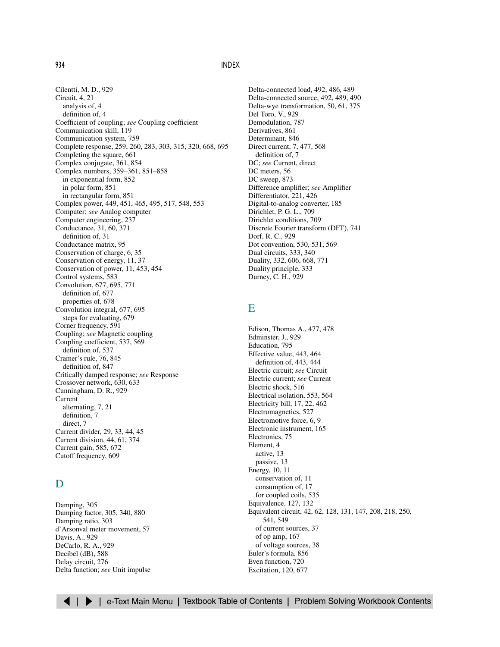<span id="page-1-2"></span><span id="page-1-1"></span><span id="page-1-0"></span>Cilentti, M. D., [929](#page-0-0) Circuit, [4,](#page-2-0) [21](#page-19-0) analysis of, [4](#page-2-0) definition of, [4](#page-2-0) Coefficient of coupling; *see* Coupling coefficient Communication skill, [119](#page-0-1) Communication system, [759](#page-0-1) Complete response, [259,](#page-22-1) [260,](#page-23-0) [283,](#page-46-0) [303,](#page-8-0) [315,](#page-20-0) [320,](#page-25-0) [668,](#page-24-1) [695](#page-51-0) Completing the square, [661](#page-17-0) Complex conjugate, [361,](#page-9-0) [854](#page-3-1) Complex numbers, [359–361,](#page-7-2) [851–858](#page-0-2) in exponential form, [852](#page-1-0) in polar form, [851](#page-0-0) in rectangular form, [851](#page-0-0) Complex power, [449,](#page-16-0) [451,](#page-18-1) [465,](#page-32-0) [495,](#page-18-1) [517,](#page-40-0) [548,](#page-21-0) [553](#page-26-0) Computer; *see* Analog computer Computer engineering, [237](#page-0-1) Conductance, [31,](#page-4-0) [60,](#page-33-0) [371](#page-19-0) definition of, [31](#page-4-0) Conductance matrix, [95](#page-20-0) Conservation of charge, [6,](#page-4-0) [35](#page-8-0) Conservation of energy, [11,](#page-9-0) [37](#page-10-0) Conservation of power, [11,](#page-9-0) [453,](#page-20-0) [454](#page-21-0) Control systems, [583](#page-0-1) Convolution, [677,](#page-33-0) [695,](#page-51-0) [771](#page-12-0) definition of, [677](#page-33-0) properties of, [678](#page-34-0) Convolution integral, [677,](#page-33-0) [695](#page-51-0) steps for evaluating, [679](#page-35-0) Corner frequency, [591](#page-8-0) Coupling; *see* Magnetic coupling Coupling coefficient, [537,](#page-10-0) [569](#page-42-0) definition of, [537](#page-10-0) Cramer's rule, [76,](#page-1-1) [845](#page-0-0) definition of, [847](#page-2-0) Critically damped response; *see* Response Crossover network, [630,](#page-47-0) [633](#page-50-0) Cunningham, D. R., [929](#page-0-0) Current alternating, [7,](#page-5-0) [21](#page-19-0) definition, [7](#page-5-0) direct, [7](#page-5-0) Current divider, [29,](#page-2-0) [33,](#page-6-0) [44,](#page-17-0) [45](#page-18-2) Current division, [44,](#page-17-0) [61,](#page-34-0) [374](#page-22-1) Current gain, [585,](#page-2-0) [672](#page-28-0) Cutoff frequency, [609](#page-26-0)

# D

Damping, [305](#page-10-0) Damping factor, [305,](#page-10-0) [340,](#page-45-0) [880](#page-15-0) Damping ratio, [303](#page-8-0) d'Arsonval meter movement, [57](#page-30-0) Davis, A., [929](#page-0-0) DeCarlo, R. A., [929](#page-0-0) Decibel (dB), [588](#page-5-0) Delay circuit, [276](#page-39-1) Delta function; *see* Unit impulse Delta-connected load, [492,](#page-15-0) [486,](#page-9-0) [489](#page-12-0) Delta-connected source, [492,](#page-15-0) [489,](#page-12-0) [490](#page-13-0) Delta-wye transformation, [50,](#page-23-0) [61,](#page-34-0) [375](#page-23-0) Del Toro, V., [929](#page-0-0) Demodulation, [787](#page-28-0) Derivatives, [861](#page-2-0) Determinant, [846](#page-1-0) Direct current, [7,](#page-5-0) [477,](#page-0-1) [568](#page-41-0) definition of, [7](#page-5-0) DC; *see* Current, direct DC meters, [56](#page-29-2) DC sweep, [873](#page-8-0) Difference amplifier; *see* Amplifier Differentiator, [221,](#page-20-0) [426](#page-33-0) Digital-to-analog converter, [185](#page-20-0) Dirichlet, P. G. L., [709](#page-2-0) Dirichlet conditions, [709](#page-2-0) Discrete Fourier transform (DFT), [741](#page-34-0) Dorf, R. C., [929](#page-0-0) Dot convention, [530,](#page-3-1) [531,](#page-4-2) [569](#page-42-0) Dual circuits, [333,](#page-38-0) [340](#page-45-0) Duality, [332,](#page-37-0) [606,](#page-23-1) [668,](#page-24-1) [771](#page-12-0) Duality principle, [333](#page-38-0) Durney, C. H., [929](#page-0-0)

# E

Edison, Thomas A., [477,](#page-0-1) [478](#page-1-0) Edminster, J., [929](#page-0-0) Education, [795](#page-0-1) Effective value, [443,](#page-10-0) [464](#page-31-0) definition of, [443,](#page-10-0) [444](#page-11-0) Electric circuit; *see* Circuit Electric current; *see* Current Electric shock, [516](#page-39-1) Electrical isolation, [553,](#page-26-0) [564](#page-37-0) Electricity bill, [17,](#page-15-0) [22,](#page-20-0) [462](#page-29-2) Electromagnetics, [527](#page-0-1) Electromotive force, [6,](#page-4-0) [9](#page-7-1) Electronic instrument, [165](#page-0-1) Electronics, [75](#page-0-1) Element, [4](#page-2-0) active, [13](#page-11-0) passive, [13](#page-11-0) Energy, [10,](#page-8-0) [11](#page-9-0) conservation of, [11](#page-9-0) consumption of, [17](#page-15-0) for coupled coils, [535](#page-8-0) Equivalence, [127,](#page-8-0) [132](#page-13-0) Equivalent circuit, [42,](#page-15-0) [62,](#page-35-0) [128,](#page-9-0) [131,](#page-12-0) [147,](#page-28-2) [208,](#page-7-1) [218,](#page-17-0) [250,](#page-13-0) [541,](#page-14-0) [549](#page-22-0) of current sources, [37](#page-10-0) of op amp, [167](#page-2-0) of voltage sources, [38](#page-11-0) Euler's formula, [856](#page-5-1) Even function, [720](#page-13-0) Excitation, [120,](#page-1-0) [677](#page-33-0)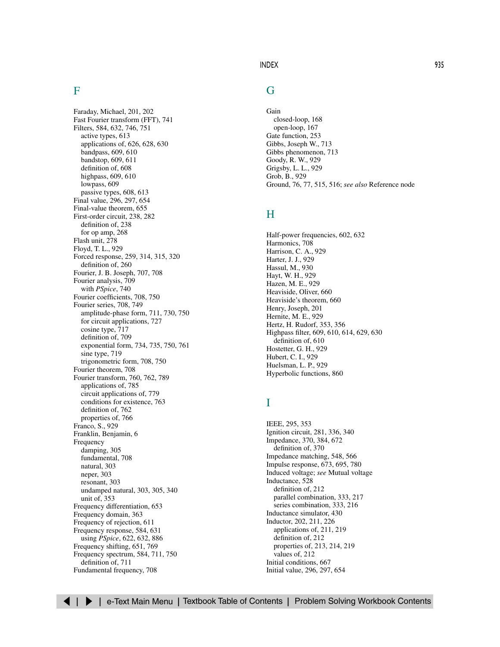### <span id="page-2-3"></span><span id="page-2-2"></span><span id="page-2-1"></span><span id="page-2-0"></span>F

Faraday, Michael, [201,](#page-0-1) [202](#page-1-0) Fast Fourier transform (FFT), [741](#page-34-0) Filters, [584,](#page-1-1) [632,](#page-49-0) [746,](#page-39-1) [751](#page-44-0) active types, [613](#page-30-0) applications of, [626,](#page-43-0) [628,](#page-45-0) [630](#page-47-0) bandpass, [609,](#page-26-0) [610](#page-27-0) bandstop, [609,](#page-26-0) [611](#page-28-0) definition of, [608](#page-25-0) highpass, [609,](#page-26-0) [610](#page-27-0) lowpass, [609](#page-26-0) passive types, [608,](#page-25-0) [613](#page-30-0) Final value, [296,](#page-1-0) [297,](#page-2-0) [654](#page-10-0) Final-value theorem, [655](#page-11-0) First-order circuit, [238,](#page-1-0) [282](#page-45-0) definition of, [238](#page-1-0) for op amp, [268](#page-31-0) Flash unit, [278](#page-41-0) Floyd, T. L., [929](#page-0-0) Forced response, [259,](#page-22-1) [314,](#page-19-0) [315,](#page-20-0) [320](#page-25-0) definition of, [260](#page-23-0) Fourier, J. B. Joseph, [707,](#page-0-1) [708](#page-1-0) Fourier analysis, [709](#page-2-0) with *PSpice*, [740](#page-33-0) Fourier coefficients, [708,](#page-1-0) [750](#page-43-0) Fourier series, [708,](#page-1-0) [749](#page-42-0) amplitude-phase form, [711,](#page-4-0) [730,](#page-23-0) [750](#page-43-0) for circuit applications, [727](#page-20-0) cosine type, [717](#page-10-0) definition of, [709](#page-2-0) exponential form, [734,](#page-27-0) [735,](#page-28-0) [750,](#page-43-0) [761](#page-2-0) sine type, [719](#page-12-0) trigonometric form, [708,](#page-1-0) [750](#page-43-0) Fourier theorem, [708](#page-1-0) Fourier transform, [760,](#page-1-0) [762,](#page-3-1) [789](#page-30-0) applications of, [785](#page-26-0) circuit applications of, [779](#page-20-0) conditions for existence, [763](#page-4-0) definition of, [762](#page-3-1) properties of, [766](#page-7-1) Franco, S., [929](#page-0-0) Franklin, Benjamin, [6](#page-4-0) Frequency damping, [305](#page-10-0) fundamental, [708](#page-1-0) natural, [303](#page-8-0) neper, [303](#page-8-0) resonant, [303](#page-8-0) undamped natural, [303,](#page-8-0) [305,](#page-10-0) [340](#page-45-0) unit of, [353](#page-1-0) Frequency differentiation, [653](#page-9-0) Frequency domain, [363](#page-11-0) Frequency of rejection, [611](#page-28-0) Frequency response, [584,](#page-1-1) [631](#page-48-0) using *PSpice*, [622,](#page-39-2) [632,](#page-49-0) [886](#page-21-0) Frequency shifting, [651,](#page-7-1) [769](#page-10-0) Frequency spectrum, [584,](#page-1-1) [711,](#page-4-0) [750](#page-43-0) definition of, [711](#page-4-0) Fundamental frequency, [708](#page-1-0)

### G

Gain closed-loop, [168](#page-3-1) open-loop, [167](#page-2-0) Gate function, [253](#page-16-0) Gibbs, Joseph W., [713](#page-6-0) Gibbs phenomenon, [713](#page-6-0) Goody, R. W., [929](#page-0-0) Grigsby, L. L., [929](#page-0-0) Grob, B., [929](#page-0-0) Ground, [76,](#page-1-1) [77,](#page-2-2) [515,](#page-38-0) [516;](#page-39-1) *see also* Reference node

### H

Half-power frequencies[, 602,](#page-19-0) [632](#page-49-0) Harmonics, [708](#page-1-0) Harrison, C. A., [929](#page-0-0) Harter, J. J., [929](#page-0-0) Hassul, M., [930](#page-1-0) Hayt, W. H., [929](#page-0-0) Hazen, M. E., [929](#page-0-0) Heaviside, Oliver, [660](#page-16-0) Heaviside's theorem, [660](#page-16-0) Henry, Joseph, [201](#page-0-1) Hernite, M. E., [929](#page-0-0) Hertz, H. Rudorf, [353,](#page-1-0) [356](#page-4-0) Highpass filter, [609,](#page-26-0) [610,](#page-27-0) [614,](#page-31-0) [629,](#page-46-0) [630](#page-47-0) definition of, [610](#page-27-0) Hostetter, G. H., [929](#page-0-0) Hubert, C. I., [929](#page-0-0) Huelsman, L. P., [929](#page-0-0) Hyperbolic functions, [860](#page-1-0)

# I

IEEE, [295,](#page-0-1) [353](#page-1-0) Ignition circuit, [281,](#page-44-0) [336,](#page-41-0) [340](#page-45-0) Impedance, [370,](#page-18-1) [384,](#page-32-0) [672](#page-28-0) definition of, [370](#page-18-1) Impedance matching, [548,](#page-21-0) [566](#page-39-1) Impulse response, [673,](#page-29-2) [695,](#page-51-0) [780](#page-21-0) Induced voltage; *see* Mutual voltage Inductance, [528](#page-1-0) definition of, [212](#page-11-0) parallel combination, [333,](#page-38-0) [217](#page-16-0) series combination, [333,](#page-38-0) [216](#page-15-0) Inductance simulator, [430](#page-37-0) Inductor, [202,](#page-1-0) [211,](#page-10-0) [226](#page-25-1) applications of, [211,](#page-10-0) [219](#page-18-1) definition of, [212](#page-11-0) properties of, [213,](#page-12-0) [214,](#page-13-0) [219](#page-18-1) values of, [212](#page-11-0) Initial conditions, [667](#page-23-0) Initial value, [296,](#page-1-0) [297,](#page-2-0) [654](#page-10-0)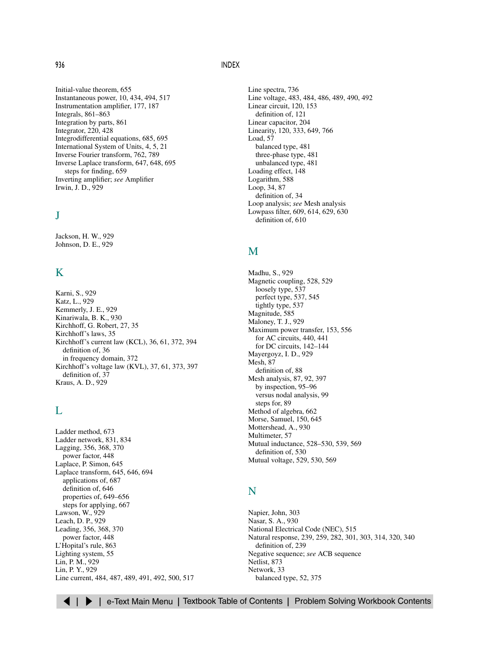<span id="page-3-2"></span><span id="page-3-1"></span><span id="page-3-0"></span>Initial-value theorem, [655](#page-11-0) Instantaneous power, [10,](#page-8-0) [434,](#page-1-0) [494,](#page-17-0) [517](#page-40-0) Instrumentation amplifier, [177,](#page-12-0) [187](#page-22-1) Integrals, [861–863](#page-2-3) Integration by parts, [861](#page-2-0) Integrator, [220,](#page-19-0) [428](#page-35-0) Integrodifferential equations, [685,](#page-41-0) [695](#page-51-0) International System of Units, [4,](#page-2-0) [5,](#page-3-1) [21](#page-19-0) Inverse Fourier transform, [762,](#page-3-1) [789](#page-30-0) Inverse Laplace transform, [647,](#page-3-1) [648,](#page-4-0) [695](#page-51-0) steps for finding, [659](#page-15-0) Inverting amplifier; *see* Amplifier Irwin, J. D., [929](#page-0-0)

### J

Jackson, H. W., [929](#page-0-0) Johnson, D. E., [929](#page-0-0)

### K

Karni, S., [929](#page-0-0) Katz, L., [929](#page-0-0) Kemmerly, J. E., [929](#page-0-0) Kinariwala, B. K., [930](#page-1-0) Kirchhoff, G. Robert, [27,](#page-0-1) [35](#page-8-0) Kirchhoff's laws, [35](#page-8-0) Kirchhoff's current law (KCL), [36,](#page-9-0) [61,](#page-34-0) [372,](#page-20-0) [394](#page-1-0) definition of, [36](#page-9-0) in frequency domain, [372](#page-20-0) Kirchhoff's voltage law (KVL), [37,](#page-10-0) [61,](#page-34-0) [373,](#page-21-0) [397](#page-4-0) definition of, [37](#page-10-0) Kraus, A. D., [929](#page-0-0)

### L

Ladder method, [673](#page-29-2) Ladder network, [831,](#page-36-0) [834](#page-39-1) Lagging, [356,](#page-4-0) [368,](#page-16-0) [370](#page-18-1) power factor, [448](#page-15-1) Laplace, P. Simon, [645](#page-1-0) Laplace transform, [645,](#page-1-0) [646,](#page-2-2) [694](#page-50-0) applications of, [687](#page-43-0) definition of, [646](#page-2-2) properties of, [649–656](#page-5-2) steps for applying, [667](#page-23-0) Lawson, W., [929](#page-0-0) Leach, D. P., [929](#page-0-0) Leading, [356,](#page-4-0) [368,](#page-16-0) [370](#page-18-1) power factor, [448](#page-15-1) L'Hopital's rule, [863](#page-4-0) Lighting system, [55](#page-28-0) Lin, P. M., [929](#page-0-0) Lin, P. Y., [929](#page-0-0) Line current, [484,](#page-7-1) [487,](#page-10-0) [489,](#page-12-0) [491,](#page-14-0) [492,](#page-15-0) [500,](#page-23-0) [517](#page-40-0) Line spectra, [736](#page-29-2) Line voltage, [483,](#page-6-0) [484,](#page-7-1) [486,](#page-9-0) [489,](#page-12-0) [490,](#page-13-0) [492](#page-15-0) Linear circuit, [120,](#page-1-0) [153](#page-34-0) definition of, [121](#page-2-0) Linear capacitor, [204](#page-3-1) Linearity, [120,](#page-1-0) [333,](#page-38-0) [649,](#page-5-0) [766](#page-7-1) Load, [57](#page-30-0) balanced type, [481](#page-4-0) three-phase type[, 481](#page-4-0) unbalanced type, [481](#page-4-0) Loading effect, [148](#page-29-2) Logarithm, [588](#page-5-0) Loop, [34,](#page-7-1) [87](#page-12-0) definition of, [34](#page-7-1) Loop analysis; *see* Mesh analysis Lowpass filter, [609,](#page-26-0) [614,](#page-31-0) [629,](#page-46-0) [630](#page-47-0) definition of, [610](#page-27-0)

### M

Madhu, S., [929](#page-0-0) Magnetic coupling, [528,](#page-1-0) [529](#page-2-0) loosely type, [537](#page-10-0) perfect type, [537,](#page-10-0) [545](#page-18-1) tightly type, [537](#page-10-0) Magnitude, [585](#page-2-0) Maloney, T. J., [929](#page-0-0) Maximum power transfer, [153,](#page-34-0) [556](#page-29-2) for AC circuits, [440,](#page-7-1) [441](#page-8-0) for DC circuits, [142–144](#page-23-2) Mayergoyz, I. D., [929](#page-0-0) Mesh, [87](#page-12-0) definition of, [88](#page-13-0) Mesh analysis, [87,](#page-12-0) [92,](#page-17-1) [397](#page-4-0) by inspection, [95–96](#page-20-1) versus nodal analysis, [99](#page-24-1) steps for, [89](#page-14-0) Method of algebra, [662](#page-18-1) Morse, Samuel, [150,](#page-31-0) [645](#page-1-0) Mottershead, A., [930](#page-1-0) Multimeter, [57](#page-30-0) Mutual inductance, [528–530,](#page-1-2) [539,](#page-12-0) [569](#page-42-0) definition of, [530](#page-3-1) Mutual voltage, [529,](#page-2-0) [530,](#page-3-1) [569](#page-42-0)

### N

Napier, John, [303](#page-8-0) Nasar, S. A., [930](#page-1-0) National Electrical Code (NEC), [515](#page-38-0) Natural response, [239,](#page-2-0) [259,](#page-22-1) [282,](#page-45-0) [301,](#page-6-0) [303,](#page-8-0) [314,](#page-19-0) [320,](#page-25-0) [340](#page-45-0) definition of, [239](#page-2-0) Negative sequence; *see* ACB sequence Netlist, [873](#page-8-0) Network, [33](#page-6-0) balanced type, [52,](#page-25-0) [375](#page-23-0)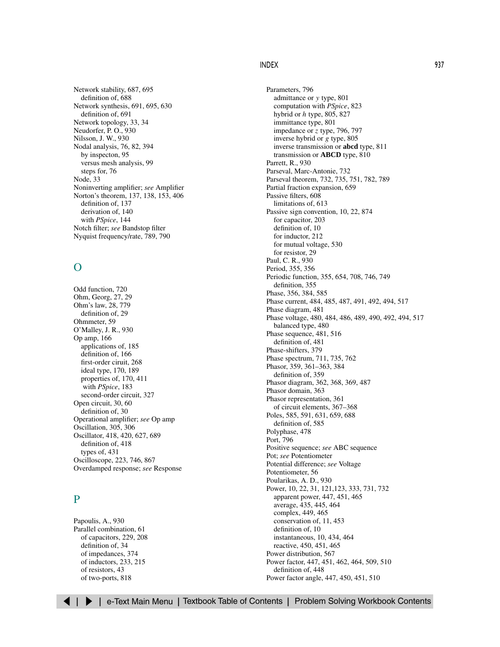<span id="page-4-2"></span><span id="page-4-1"></span><span id="page-4-0"></span>Network stability, [687,](#page-43-0) [695](#page-51-0) definition of, [688](#page-44-0) Network synthesis, [691,](#page-47-0) [695,](#page-51-0) [630](#page-47-0) definition of, [691](#page-47-0) Network topology, [33,](#page-6-0) [34](#page-7-1) Neudorfer, P. O., [930](#page-1-0) Nilsson, J. W., [930](#page-1-0) Nodal analysis, [76,](#page-1-1) [82,](#page-7-1) [394](#page-1-0) by inspecton, [95](#page-20-0) versus mesh analysis, [99](#page-24-1) steps for, [76](#page-1-1) Node, [33](#page-6-0) Noninverting amplifier; *see* Amplifier Norton's theorem, [137,](#page-18-1) [138,](#page-19-0) [153,](#page-34-0) [406](#page-13-0) definition of, [137](#page-18-1) derivation of, [140](#page-21-0) with *PSpice*, [144](#page-25-0) Notch filter; *see* Bandstop filter Nyquist frequency/rate, [789,](#page-30-0) [790](#page-31-0)

# $\Omega$

Odd function, [720](#page-13-0) Ohm, Georg, [27,](#page-0-1) [29](#page-2-0) Ohm's law, [28,](#page-1-0) [779](#page-20-0) definition of, [29](#page-2-0) Ohmmeter, [59](#page-32-0) O'Malley, J. R., [930](#page-1-0) Op amp, [166](#page-1-0) applications of, [185](#page-20-0) definition of, [166](#page-1-0) first-order ciruit, [268](#page-31-0) ideal type, [170,](#page-5-0) [189](#page-24-0) properties of, [170,](#page-5-0) [411](#page-18-1) with *PSpice*, [183](#page-18-1) second-order circuit, [327](#page-32-0) Open circuit, [30,](#page-3-1) [60](#page-33-0) definition of, [30](#page-3-1) Operational amplifier; *see* Op amp Oscillation, [305,](#page-10-0) [306](#page-11-0) Oscillator, [418,](#page-25-0) [420,](#page-27-0) [627,](#page-44-0) [689](#page-45-0) definition of, [418](#page-25-0) types of, [431](#page-38-0) Oscilloscope, [223,](#page-22-1) [746,](#page-39-1) [867](#page-2-0) Overdamped response; *see* Response

### P

Papoulis, A., [930](#page-1-0) Parallel combination, [61](#page-34-0) of capacitors, [229,](#page-28-2) [208](#page-7-1) definition of, [34](#page-7-1) of impedances, [374](#page-22-1) of inductors, [233,](#page-32-0) [215](#page-14-0) of resistors, [43](#page-16-0) of two-ports, [818](#page-23-0)

Parameters, [796](#page-1-0) admittance or *y* type, [801](#page-6-0) computation with *PSpice*, [823](#page-28-0) hybrid or *h* type, [805,](#page-10-0) [827](#page-32-0) immittance type, [801](#page-6-0) impedance or *z* type, [796,](#page-1-0) [797](#page-2-0) inverse hybrid or *g* type, [805](#page-10-0) inverse transmission or **abcd** type, [811](#page-16-0) transmission or **ABCD** type, [810](#page-15-0) Parrett, R., [930](#page-1-0) Parseval, Marc-Antonie, [732](#page-25-0) Parseval theorem, [732,](#page-25-0) [735,](#page-28-0) [751,](#page-44-0) [782,](#page-23-0) [789](#page-30-0) Partial fraction expansion, [659](#page-15-0) Passive filters, [608](#page-25-0) limitations of, [613](#page-30-0) Passive sign convention, [10,](#page-8-0) [22,](#page-20-0) [874](#page-9-1) for capacitor, [203](#page-2-0) definition of, [10](#page-8-0) for inductor, [212](#page-11-0) for mutual voltage, [530](#page-3-1) for resistor, [29](#page-2-0) Paul, C. R., [930](#page-1-0) Period, [355,](#page-3-1) [356](#page-4-0) Periodic function, [355,](#page-3-1) [654,](#page-10-0) [708,](#page-1-0) [746,](#page-39-1) [749](#page-42-0) definition, [355](#page-3-1) Phase, [356,](#page-4-0) [384,](#page-32-0) [585](#page-2-0) Phase current, [484,](#page-7-1) [485,](#page-8-0) [487,](#page-10-0) [491,](#page-14-0) [492,](#page-15-0) [494,](#page-17-0) [517](#page-40-0) Phase diagram, [481](#page-4-0) Phase voltage, [480,](#page-3-1) [484,](#page-7-1) [486,](#page-9-0) [489,](#page-12-0) [490,](#page-13-0) [492,](#page-15-0) [494,](#page-17-0) [517](#page-40-2) balanced type, [480](#page-3-1) Phase sequence, [481,](#page-4-0) [516](#page-39-1) definition of, [481](#page-4-0) Phase-shifters, [379](#page-27-0) Phase spectrum, [711,](#page-4-0) [735,](#page-28-0) [762](#page-3-1) Phasor, [359,](#page-7-1) [361–363,](#page-9-2) [384](#page-32-0) definition of, [359](#page-7-1) Phasor diagram, 362, [368,](#page-16-0) [369,](#page-17-0) [487](#page-10-0) Phasor domain, [363](#page-11-0) Phasor representation, [361](#page-9-0) of circuit elements, [367–368](#page-15-2) Poles, [585,](#page-2-0) [591,](#page-8-0) [631,](#page-48-0) [659,](#page-15-0) [688](#page-44-0) definition of, [585](#page-2-0) Polyphase, [478](#page-1-0) Port, [796](#page-1-0) Positive sequence; *see* ABC sequence Pot; *see* Potentiometer Potential difference; *see* Voltage Potentiometer, [56](#page-29-2) Poularikas, A. D., [930](#page-1-0) Power, [10,](#page-8-0) [22,](#page-20-0) [31,](#page-4-0) [121,](#page-2-0)[123,](#page-4-0) [333,](#page-38-0) [731,](#page-24-1) [732](#page-25-0) apparent power, [447,](#page-14-0) [451,](#page-18-1) [465](#page-32-0) average, [435,](#page-2-0) [445,](#page-12-0) [464](#page-31-0) complex, [449,](#page-16-0) [465](#page-32-0) conservation of, [11,](#page-9-0) [453](#page-20-0) definition of, [10](#page-8-0) instantaneous, [10,](#page-8-0) [434,](#page-1-0) [464](#page-31-0) reactive, [450,](#page-17-0) [451,](#page-18-1) [465](#page-32-0) Power distribution, [567](#page-40-1) Power factor, [447,](#page-14-0) [451,](#page-18-1) [462,](#page-29-2) [464,](#page-31-0) [509,](#page-32-0) [510](#page-33-0) definition of, [448](#page-15-1) Power factor angle, [447,](#page-14-0) [450,](#page-17-0) [451,](#page-18-1) [510](#page-33-0)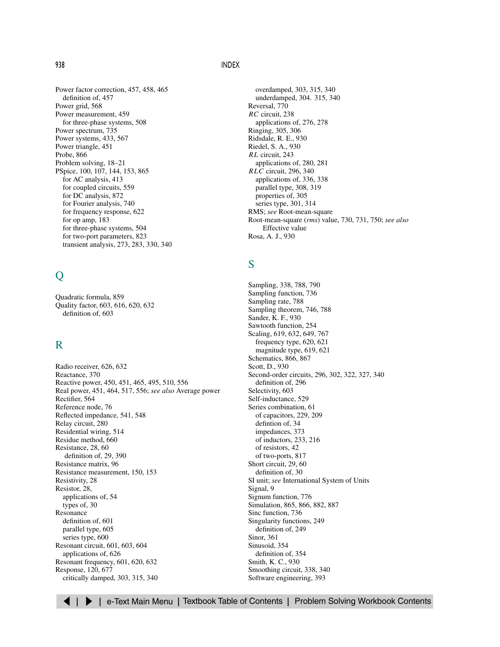<span id="page-5-2"></span><span id="page-5-1"></span><span id="page-5-0"></span>Power factor correction, [457,](#page-24-1) [458,](#page-25-0) [465](#page-32-0) definition of, [457](#page-24-1) Power grid, [568](#page-41-0) Power measurement, [459](#page-26-0) for three-phase systems, [508](#page-31-0) Power spectrum, [735](#page-28-0) Power systems, [433,](#page-0-1) [567](#page-40-1) Power triangle, [451](#page-18-1) Probe, [866](#page-1-0) Problem solving, [18–21](#page-16-1) PSpice, [100,](#page-25-0) [107,](#page-32-0) [144,](#page-25-0) [153,](#page-34-0) [865](#page-0-0) for AC analysis, [413](#page-20-0) for coupled circuits, [559](#page-32-0) for DC analysis, [872](#page-7-1) for Fourier analysis, [740](#page-33-0) for frequency response, [622](#page-39-2) for op amp, [183](#page-18-1) for three-phase systems, [504](#page-27-0) for two-port parameters[, 823](#page-28-0) transient analysis, [273,](#page-36-0) [283,](#page-46-0) [330,](#page-35-0) [340](#page-45-0)

# $\overline{O}$

Quadratic formula, [859](#page-0-0) Quality factor, [603,](#page-20-0) [616,](#page-33-0) [620,](#page-37-0) [632](#page-49-0) definition of, [603](#page-20-0)

### R

Radio receiver, [626,](#page-43-0) [632](#page-49-0) Reactance, [370](#page-18-1) Reactive power, [450,](#page-17-0) [451,](#page-18-1) [465,](#page-32-0) [495,](#page-18-1) [510,](#page-33-0) [556](#page-29-2) Real power, [451,](#page-18-1) [464,](#page-31-0) [517,](#page-40-0) [556;](#page-29-2) *see also* Average power Rectifier, [564](#page-37-0) Reference node, [76](#page-1-1) Reflected impedance, [541,](#page-14-0) [548](#page-21-0) Relay circuit, [280](#page-43-0) Residential wiring, [514](#page-37-1) Residue method, [660](#page-16-0) Resistance, [28,](#page-1-0) [60](#page-33-0) definition of, [29,](#page-2-0) [390](#page-38-0) Resistance matrix, [96](#page-21-1) Resistance measurement, [150,](#page-31-0) [153](#page-34-0) Resistivity, [28](#page-1-0) Resistor, [28,](#page-1-0) applications of, [54](#page-27-0) types of, [30](#page-3-1) Resonance definition of, [601](#page-18-1) parallel type, [605](#page-22-0) series type, [600](#page-17-0) Resonant circuit, [601,](#page-18-1) [603,](#page-20-0) [604](#page-21-0) applications of, [626](#page-43-0) Resonant frequency, [601,](#page-18-1) [620,](#page-37-0) [632](#page-49-0) Response, [120,](#page-1-0) [677](#page-33-0) critically damped, [303,](#page-8-0) [315,](#page-20-0) [340](#page-45-0)

overdamped, [303,](#page-8-0) [315,](#page-20-0) [340](#page-45-0) underdamped, [304.](#page-9-0) [315,](#page-20-0) [340](#page-45-0) Reversal, [770](#page-11-0) *RC* circuit, [238](#page-1-2) applications of, [276,](#page-39-1) [278](#page-41-0) Ringing, [305,](#page-10-0) [306](#page-11-0) Ridsdale, R. E., [930](#page-1-0) Riedel, S. A., [930](#page-1-0) *RL* circuit, [243](#page-6-2) applications of, [280,](#page-43-0) [281](#page-44-0) *RLC* circuit, [296,](#page-1-2) [340](#page-45-1) applications of, [336,](#page-41-0) [338](#page-43-0) parallel type, [308,](#page-13-0) [319](#page-24-1) properties of, [305](#page-10-0) series type, [301,](#page-6-0) [314](#page-19-0) RMS; *see* Root-mean-square Root-mean-square (*rms*) value, [730,](#page-23-0) [731,](#page-24-1) [750;](#page-43-0) *see also* Effective value Rosa, A. J., [930](#page-1-0)

# S

Sampling, [338,](#page-43-0) [788,](#page-29-2) [790](#page-31-0) Sampling function, [736](#page-29-2) Sampling rate, [788](#page-29-2) Sampling theorem, [746,](#page-39-1) [788](#page-29-2) Sander, K. F., [930](#page-1-0) Sawtooth function, [254](#page-17-0) Scaling, [619,](#page-36-0) [632,](#page-49-0) [649,](#page-5-0) [767](#page-8-0) frequency type, [620,](#page-37-0) [621](#page-38-0) magnitude type, [619,](#page-36-0) [621](#page-38-0) Schematics, [866,](#page-1-0) [867](#page-2-0) Scott, D., [930](#page-1-0) Second-order circuits[, 296,](#page-1-0) [302,](#page-7-1) [322,](#page-27-0) [327,](#page-32-0) [340](#page-45-0) definition of, [296](#page-1-0) Selectivity, [603](#page-20-0) Self-inductance, [529](#page-2-0) Series combination, [61](#page-34-0) of capacitors, [229,](#page-28-2) [209](#page-8-0) defintion of, [34](#page-7-1) impedances, [373](#page-21-0) of inductors, [233,](#page-32-0) [216](#page-15-0) of resistors, [42](#page-15-0) of two-ports[, 817](#page-22-1) Short circuit, [29,](#page-2-0) [60](#page-33-0) definition of, [30](#page-3-1) SI unit; *see* International System of Units Signal, [9](#page-7-1) Signum function, [776](#page-17-0) Simulation, [865,](#page-0-0) [866,](#page-1-0) [882,](#page-17-0) [887](#page-22-1) Sinc function, [736](#page-29-2) Singularity functions, [249](#page-12-1) definition of, [249](#page-12-1) Sinor, [361](#page-9-0) Sinusoid, [354](#page-2-0) definition of, [354](#page-2-0) Smith, K. C., [930](#page-1-0) Smoothing circuit, [338,](#page-43-0) [340](#page-45-0) Software engineering, [393](#page-0-1)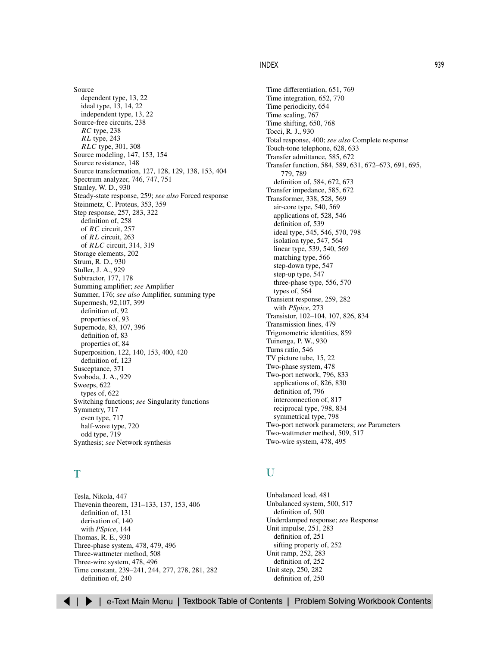<span id="page-6-2"></span><span id="page-6-1"></span><span id="page-6-0"></span>Source dependent type, [13,](#page-11-0) [22](#page-20-0) ideal type, [13,](#page-11-0) [14,](#page-12-0) [22](#page-20-0) independent type, [13,](#page-11-0) [22](#page-20-0) Source-free circuits, [238](#page-1-0) *RC* type, [238](#page-1-0) *RL* type, [243](#page-6-1) *RLC* type, [301,](#page-6-0) [308](#page-13-0) Source modeling, [147,](#page-28-2) [153,](#page-34-0) [154](#page-35-0) Source resistance, [148](#page-29-2) Source transformation, [127,](#page-8-0) [128,](#page-9-0) [129,](#page-10-0) [138,](#page-19-0) [153,](#page-34-0) [404](#page-11-1) Spectrum analyzer, [746,](#page-39-1) [747,](#page-40-0) [751](#page-44-0) Stanley, W. D., [930](#page-1-0) Steady-state response, [259;](#page-22-1) *see also* Forced response Steinmetz, C. Proteus, [353,](#page-1-0) [359](#page-7-1) Step response, [257,](#page-20-0) [283,](#page-46-0) [322](#page-27-0) definition of, [258](#page-21-0) of *RC* circuit, [257](#page-20-0) of *RL* circuit, [263](#page-26-0) of *RLC* circuit, [314,](#page-19-0) [319](#page-24-1) Storage elements, [202](#page-1-0) Strum, R. D., [930](#page-1-0) Stuller, J. A., [929](#page-0-0) Subtractor, [177,](#page-12-0) [178](#page-13-0) Summing amplifier; *see* Amplifier Summer, [176;](#page-11-0) *see also* Amplifier, summing type Supermesh, [92](#page-17-1)[,107,](#page-32-0) [399](#page-6-1) definition of, [92](#page-17-1) properties of, [93](#page-18-1) Supernode, [83,](#page-8-0) [107,](#page-32-0) [396](#page-3-1) definition of, [83](#page-8-0) properties of, [84](#page-9-0) Superposition, [122,](#page-3-1) [140,](#page-21-0) [153,](#page-34-0) [400,](#page-7-1) [420](#page-27-0) definition of, [123](#page-4-0) Susceptance, [371](#page-19-0) Svoboda, J. A., [929](#page-0-0) Sweeps, [622](#page-39-2) types of, [622](#page-39-2) Switching functions; *see* Singularity functions Symmetry, [717](#page-10-0) even type, [717](#page-10-0) half-wave type, [720](#page-13-0) odd type, [719](#page-12-0) Synthesis; *see* Network synthesis

### T

Tesla, Nikola, [447](#page-14-0) Thevenin theorem, [131–133,](#page-12-2) [137,](#page-18-1) [153,](#page-34-0) [406](#page-13-0) definition of, [131](#page-12-0) derivation of, [140](#page-21-0) with *PSpice*, [144](#page-25-0) Thomas, R. E., [930](#page-1-0) Three-phase system, [478,](#page-1-0) [479,](#page-2-0) [496](#page-19-0) Three-wattmeter method[, 508](#page-31-0) Three-wire system, [478,](#page-1-0) [496](#page-19-0) Time constant, [239–241,](#page-2-3) [244,](#page-7-1) [277,](#page-40-0) [278,](#page-41-0) [281,](#page-44-0) [282](#page-45-0) definition of, [240](#page-3-1)

Time differentiation, [651,](#page-7-1) [769](#page-10-0) Time integration, [652,](#page-8-0) [770](#page-11-0) Time periodicity, [654](#page-10-0) Time scaling, [767](#page-8-0) Time shifting, [650,](#page-6-0) [768](#page-9-0) Tocci, R. J., [930](#page-1-0) Total response, [400;](#page-7-1) *see also* Complete response Touch-tone telephone, [628,](#page-45-0) [633](#page-50-0) Transfer admittance, [585,](#page-2-0) [672](#page-28-0) Transfer function[, 584,](#page-1-1) [589,](#page-6-1) [631,](#page-48-0) [672–673,](#page-28-3) [691,](#page-47-0) [695,](#page-51-0) [779,](#page-20-0) [789](#page-30-0) definition of, [584,](#page-1-1) [672,](#page-28-0) [673](#page-29-2) Transfer impedance, [585,](#page-2-0) [672](#page-28-0) Transformer, [338,](#page-43-0) [528,](#page-1-0) [569](#page-42-0) air-core type, [540,](#page-13-0) [569](#page-42-0) applications of, [528,](#page-1-0) [546](#page-19-0) definition of, [539](#page-12-0) ideal type, [545,](#page-18-1) [546,](#page-19-0) [570,](#page-43-0) [798](#page-3-1) isolation type, [547,](#page-20-0) [564](#page-37-0) linear type, [539,](#page-12-0) [540,](#page-13-0) [569](#page-42-0) matching type, [566](#page-39-1) step-down type, [547](#page-20-0) step-up type, [547](#page-20-0) three-phase type, [556,](#page-29-2) [570](#page-43-0) types of, [564](#page-37-0) Transient response, [259,](#page-22-1) [282](#page-45-0) with *PSpice*, [273](#page-36-0) Transistor, [102–104,](#page-27-1) [107,](#page-32-0) [826,](#page-31-0) [834](#page-39-1) Transmission lines, [479](#page-2-0) Trigonometric identities, [859](#page-0-0) Tuinenga, P. W., [930](#page-1-0) Turns ratio, [546](#page-19-0) TV picture tube, [15,](#page-13-0) [22](#page-20-0) Two-phase system, [478](#page-1-0) Two-port network, [796,](#page-1-0) [833](#page-38-0) applications of, [826,](#page-31-0) [830](#page-35-0) definition of, [796](#page-1-0) interconnection of, [817](#page-22-1) reciprocal type, [798,](#page-3-1) [834](#page-39-1) symmetrical type, [798](#page-3-1) Two-port network parameters; *see* Parameters Two-wattmeter method, [509,](#page-32-0) [517](#page-40-0) Two-wire system, [478,](#page-1-0) [495](#page-18-1)

### U

Unbalanced load, [481](#page-4-0) Unbalanced system, [500,](#page-23-0) [517](#page-40-0) definition of, [500](#page-23-0) Underdamped response; *see* Response Unit impulse, [251,](#page-14-0) [283](#page-46-0) definition of, [251](#page-14-0) sifting property of, [252](#page-15-1) Unit ramp, [252,](#page-15-1) [283](#page-46-0) definition of, [252](#page-15-1) Unit step, [250,](#page-13-0) [282](#page-45-0) definition of, [250](#page-13-0)